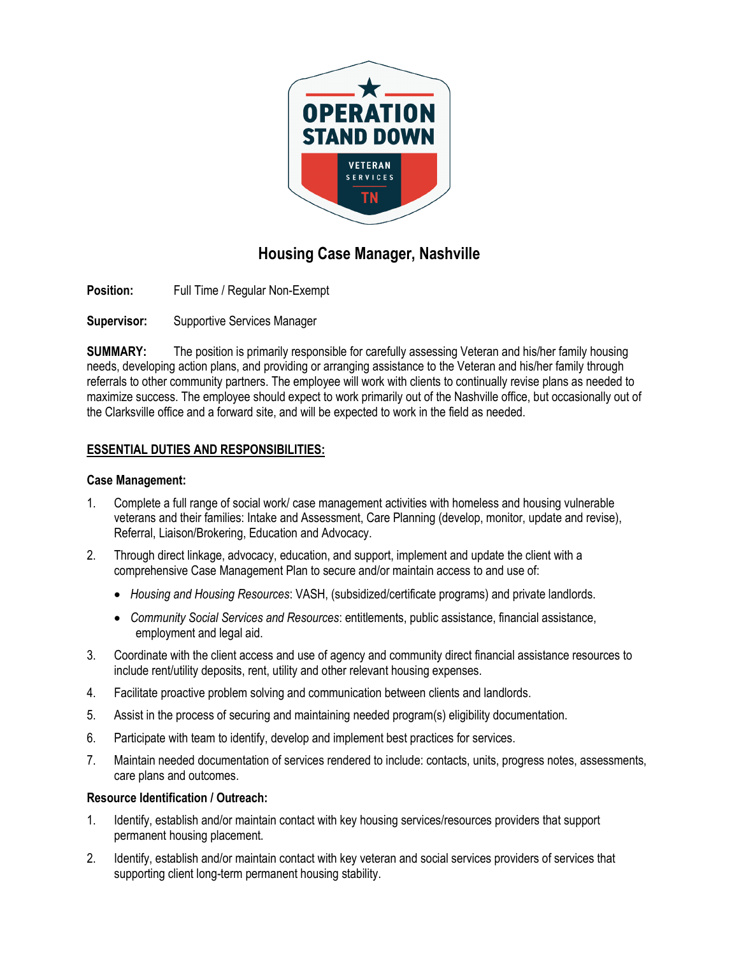

# **Housing Case Manager, Nashville**

**Position:** Full Time / Regular Non-Exempt

**Supervisor:** Supportive Services Manager

**SUMMARY:** The position is primarily responsible for carefully assessing Veteran and his/her family housing needs, developing action plans, and providing or arranging assistance to the Veteran and his/her family through referrals to other community partners. The employee will work with clients to continually revise plans as needed to maximize success. The employee should expect to work primarily out of the Nashville office, but occasionally out of the Clarksville office and a forward site, and will be expected to work in the field as needed.

#### **ESSENTIAL DUTIES AND RESPONSIBILITIES:**

#### **Case Management:**

- 1. Complete a full range of social work/ case management activities with homeless and housing vulnerable veterans and their families: Intake and Assessment, Care Planning (develop, monitor, update and revise), Referral, Liaison/Brokering, Education and Advocacy.
- 2. Through direct linkage, advocacy, education, and support, implement and update the client with a comprehensive Case Management Plan to secure and/or maintain access to and use of:
	- *Housing and Housing Resources*: VASH, (subsidized/certificate programs) and private landlords.
	- *Community Social Services and Resources*: entitlements, public assistance, financial assistance, employment and legal aid.
- 3. Coordinate with the client access and use of agency and community direct financial assistance resources to include rent/utility deposits, rent, utility and other relevant housing expenses.
- 4. Facilitate proactive problem solving and communication between clients and landlords.
- 5. Assist in the process of securing and maintaining needed program(s) eligibility documentation.
- 6. Participate with team to identify, develop and implement best practices for services.
- 7. Maintain needed documentation of services rendered to include: contacts, units, progress notes, assessments, care plans and outcomes.

#### **Resource Identification / Outreach:**

- 1. Identify, establish and/or maintain contact with key housing services/resources providers that support permanent housing placement.
- 2. Identify, establish and/or maintain contact with key veteran and social services providers of services that supporting client long-term permanent housing stability.